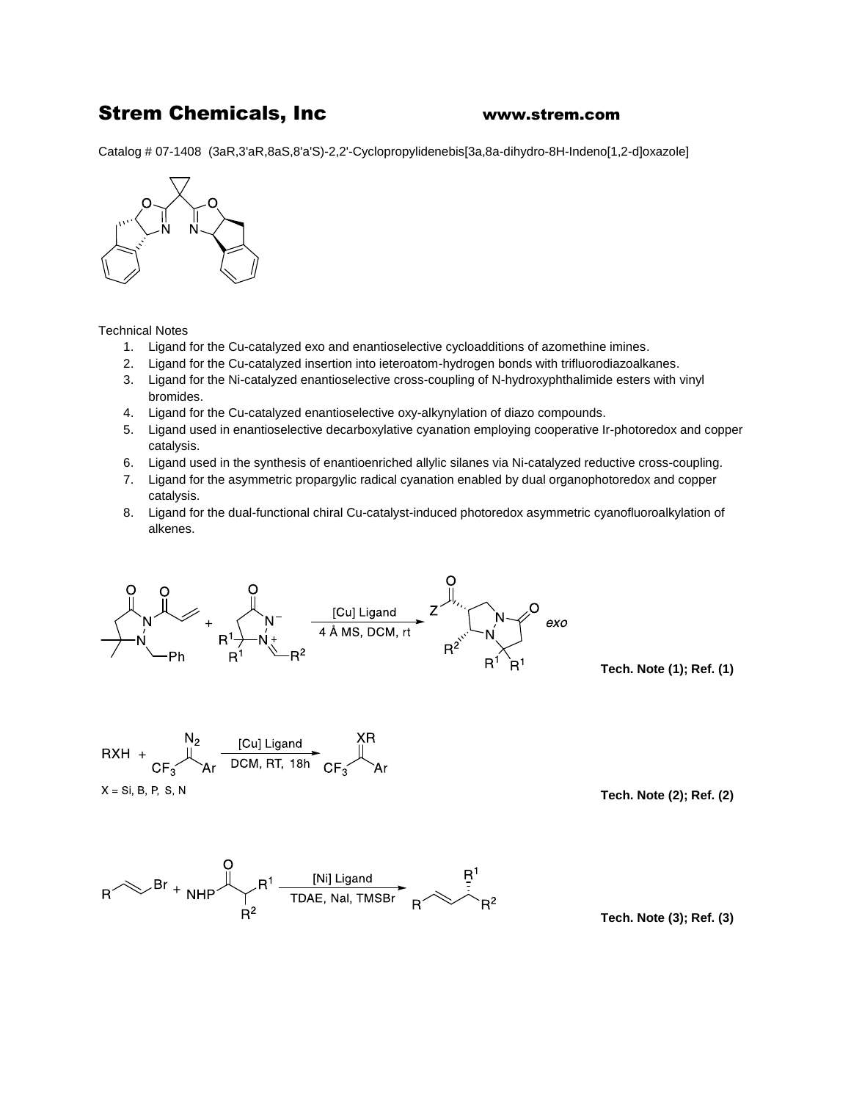## Strem Chemicals, Inc [www.strem.](http://www.strem/)com

Catalog # 07-1408 (3aR,3'aR,8aS,8'a'S)-2,2'-Cyclopropylidenebis[3a,8a-dihydro-8H-Indeno[1,2-d]oxazole]



Technical Notes

- 1. Ligand for the Cu-catalyzed exo and enantioselective cycloadditions of azomethine imines.
- 2. Ligand for the Cu-catalyzed insertion into ieteroatom-hydrogen bonds with trifluorodiazoalkanes.
- 3. Ligand for the Ni-catalyzed enantioselective cross-coupling of N-hydroxyphthalimide esters with vinyl bromides.
- 4. Ligand for the Cu-catalyzed enantioselective oxy-alkynylation of diazo compounds.
- 5. Ligand used in enantioselective decarboxylative cyanation employing cooperative Ir-photoredox and copper catalysis.
- 6. Ligand used in the synthesis of enantioenriched allylic silanes via Ni-catalyzed reductive cross-coupling.
- 7. Ligand for the asymmetric propargylic radical cyanation enabled by dual organophotoredox and copper catalysis.
- 8. Ligand for the dual-functional chiral Cu-catalyst-induced photoredox asymmetric cyanofluoroalkylation of alkenes.



**Tech. Note (1); Ref. (1)**



 $X = Si, B, P, S, N$ 

**Tech. Note (2); Ref. (2)**



**Tech. Note (3); Ref. (3)**